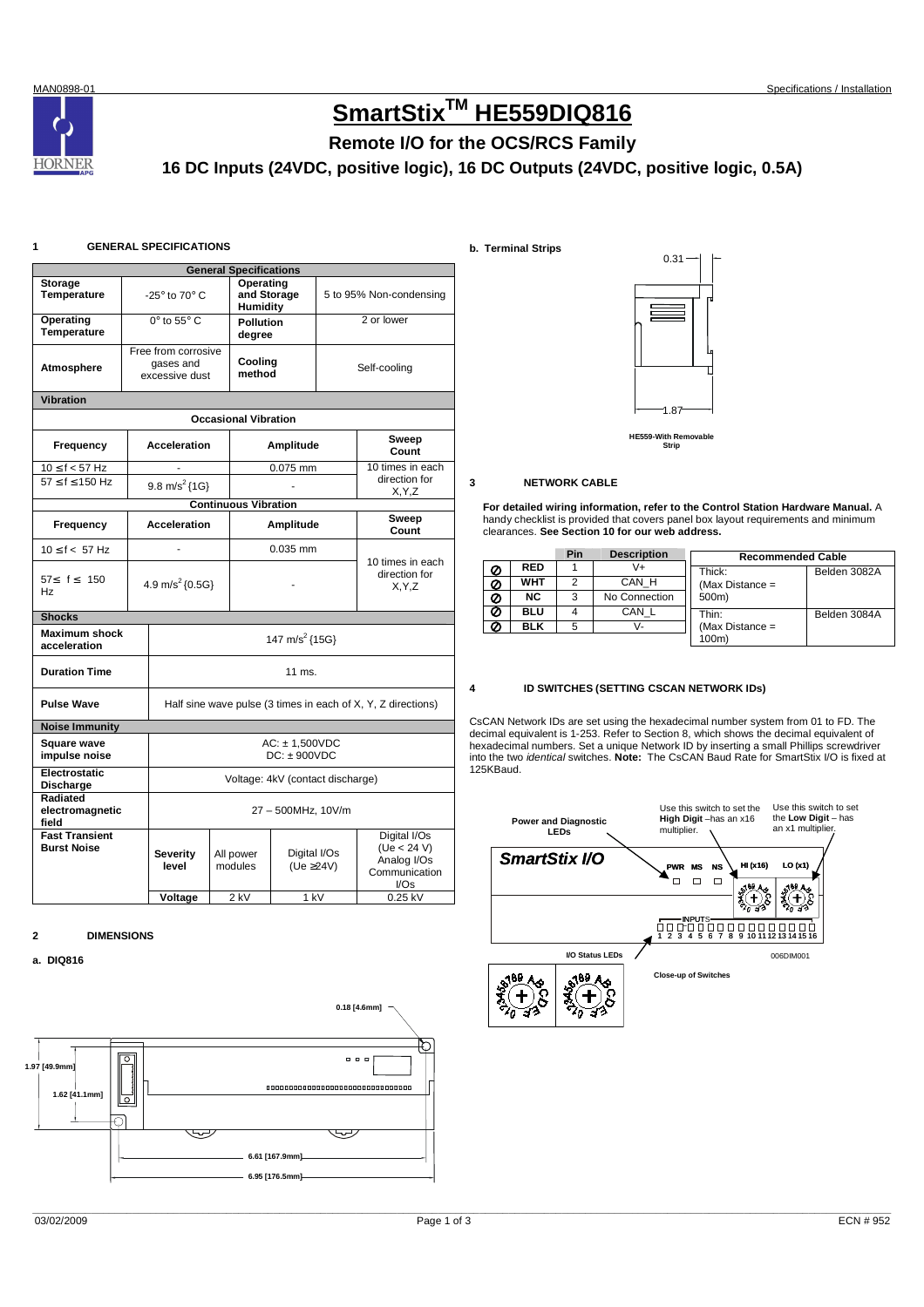**HORNER** 

# **SmartStixTM HE559DIQ816**

## **Remote I/O for the OCS/RCS Family**

**16 DC Inputs (24VDC, positive logic), 16 DC Outputs (24VDC, positive logic, 0.5A)** 

### **1 GENERAL SPECIFICATIONS**

|                                                                    | <b>General Specifications</b> |                                                              |  |                             |                    |                                              |                  |  |  |
|--------------------------------------------------------------------|-------------------------------|--------------------------------------------------------------|--|-----------------------------|--------------------|----------------------------------------------|------------------|--|--|
| Storage                                                            |                               |                                                              |  | Operating                   |                    |                                              |                  |  |  |
| <b>Temperature</b>                                                 |                               | -25 $\degree$ to 70 $\degree$ C                              |  | and Storage<br>Humidity     |                    | 5 to 95% Non-condensing                      |                  |  |  |
| Operating<br>Temperature                                           |                               | $0^\circ$ to $55^\circ$ C                                    |  | <b>Pollution</b>            |                    | 2 or lower                                   |                  |  |  |
|                                                                    |                               |                                                              |  | degree                      |                    |                                              |                  |  |  |
|                                                                    |                               | Free from corrosive                                          |  |                             |                    |                                              |                  |  |  |
| Atmosphere                                                         |                               | gases and                                                    |  | Cooling                     |                    |                                              | Self-cooling     |  |  |
|                                                                    |                               | excessive dust                                               |  | method                      |                    |                                              |                  |  |  |
| <b>Vibration</b>                                                   |                               |                                                              |  |                             |                    |                                              |                  |  |  |
|                                                                    | <b>Occasional Vibration</b>   |                                                              |  |                             |                    |                                              |                  |  |  |
| Frequency                                                          |                               | <b>Acceleration</b>                                          |  |                             | Amplitude          | Sweep<br>Count                               |                  |  |  |
| $10 \le f < 57$ Hz                                                 |                               |                                                              |  |                             | 0.075 mm           |                                              | 10 times in each |  |  |
| $57 < f < 150$ Hz                                                  |                               |                                                              |  |                             |                    |                                              | direction for    |  |  |
|                                                                    |                               | 9.8 m/s <sup>2</sup> ${1G}$                                  |  |                             |                    |                                              | X, Y, Z          |  |  |
|                                                                    |                               |                                                              |  | <b>Continuous Vibration</b> |                    |                                              |                  |  |  |
| Frequency                                                          | <b>Acceleration</b>           |                                                              |  |                             | Amplitude          |                                              | Sweep<br>Count   |  |  |
| 10 < f < 57 Hz                                                     |                               |                                                              |  | $0.035$ mm                  |                    |                                              |                  |  |  |
| 57≤ f ≤ 150<br>Hz                                                  | 4.9 m/s <sup>2</sup> {0.5G}   |                                                              |  |                             |                    | 10 times in each<br>direction for<br>X, Y, Z |                  |  |  |
| <b>Shocks</b>                                                      |                               |                                                              |  |                             |                    |                                              |                  |  |  |
| <b>Maximum shock</b><br>147 m/s <sup>2</sup> {15G}<br>acceleration |                               |                                                              |  |                             |                    |                                              |                  |  |  |
| <b>Duration Time</b>                                               |                               | 11 ms.                                                       |  |                             |                    |                                              |                  |  |  |
| <b>Pulse Wave</b>                                                  |                               | Half sine wave pulse (3 times in each of X, Y, Z directions) |  |                             |                    |                                              |                  |  |  |
| <b>Noise Immunity</b>                                              |                               |                                                              |  |                             |                    |                                              |                  |  |  |
| <b>Square wave</b>                                                 |                               |                                                              |  |                             | $AC: \pm 1,500VDC$ |                                              |                  |  |  |
| impulse noise                                                      |                               | $DC: \pm 900VDC$                                             |  |                             |                    |                                              |                  |  |  |
| Electrostatic<br>Discharge                                         |                               | Voltage: 4kV (contact discharge)                             |  |                             |                    |                                              |                  |  |  |
| Radiated                                                           |                               |                                                              |  |                             |                    |                                              |                  |  |  |
| electromagnetic<br>field                                           |                               | 27 - 500MHz, 10V/m                                           |  |                             |                    |                                              |                  |  |  |
| <b>Fast Transient</b>                                              |                               |                                                              |  |                             |                    |                                              | Digital I/Os     |  |  |
| <b>Burst Noise</b>                                                 |                               |                                                              |  |                             |                    |                                              | (Ue < 24 V)      |  |  |
|                                                                    |                               | <b>Severity</b>                                              |  | All power                   | Digital I/Os       |                                              | Analog I/Os      |  |  |
|                                                                    |                               | level                                                        |  | modules                     | (Ue $\geq$ 24V)    |                                              | Communication    |  |  |
|                                                                    |                               |                                                              |  |                             |                    |                                              | I/Os             |  |  |
|                                                                    |                               | Voltage                                                      |  | 2 kV                        | 1 kV               |                                              | 0.25 kV          |  |  |

**2 DIMENSIONS** 

**a. DIQ816**



**b. Terminal Strips** 



#### **HE559-With Removable Strip**

#### **3 NETWORK CABLE**

**For detailed wiring information, refer to the Control Station Hardware Manual.** A handy checklist is provided that covers panel box layout requirements and minimum clearances. **See Section 10 for our web address.** 

|   |            | Pin | <b>Description</b> | <b>Recommended Cable</b> |              |
|---|------------|-----|--------------------|--------------------------|--------------|
| Ø | <b>RED</b> |     |                    | Thick:                   | Belden 3082A |
| Ø | <b>WHT</b> | っ   | CAN H              | (Max Distance $=$        |              |
| Ø | NC.        | 3   | No Connection      | 500m)                    |              |
| Ø | BLU        |     | CAN L              | Thin:                    | Belden 3084A |
| Ø | <b>BLK</b> | 5   | v-                 | (Max Distance $=$        |              |
|   |            |     |                    | 100m)                    |              |

#### **4 ID SWITCHES (SETTING CSCAN NETWORK IDs)**

CsCAN Network IDs are set using the hexadecimal number system from 01 to FD. The decimal equivalent is 1-253. Refer to Section 8, which shows the decimal equivalent of hexadecimal numbers. Set a unique Network ID by inserting a small Phillips screwdriver into the two identical switches. **Note:** The CsCAN Baud Rate for SmartStix I/O is fixed at 125KBaud.

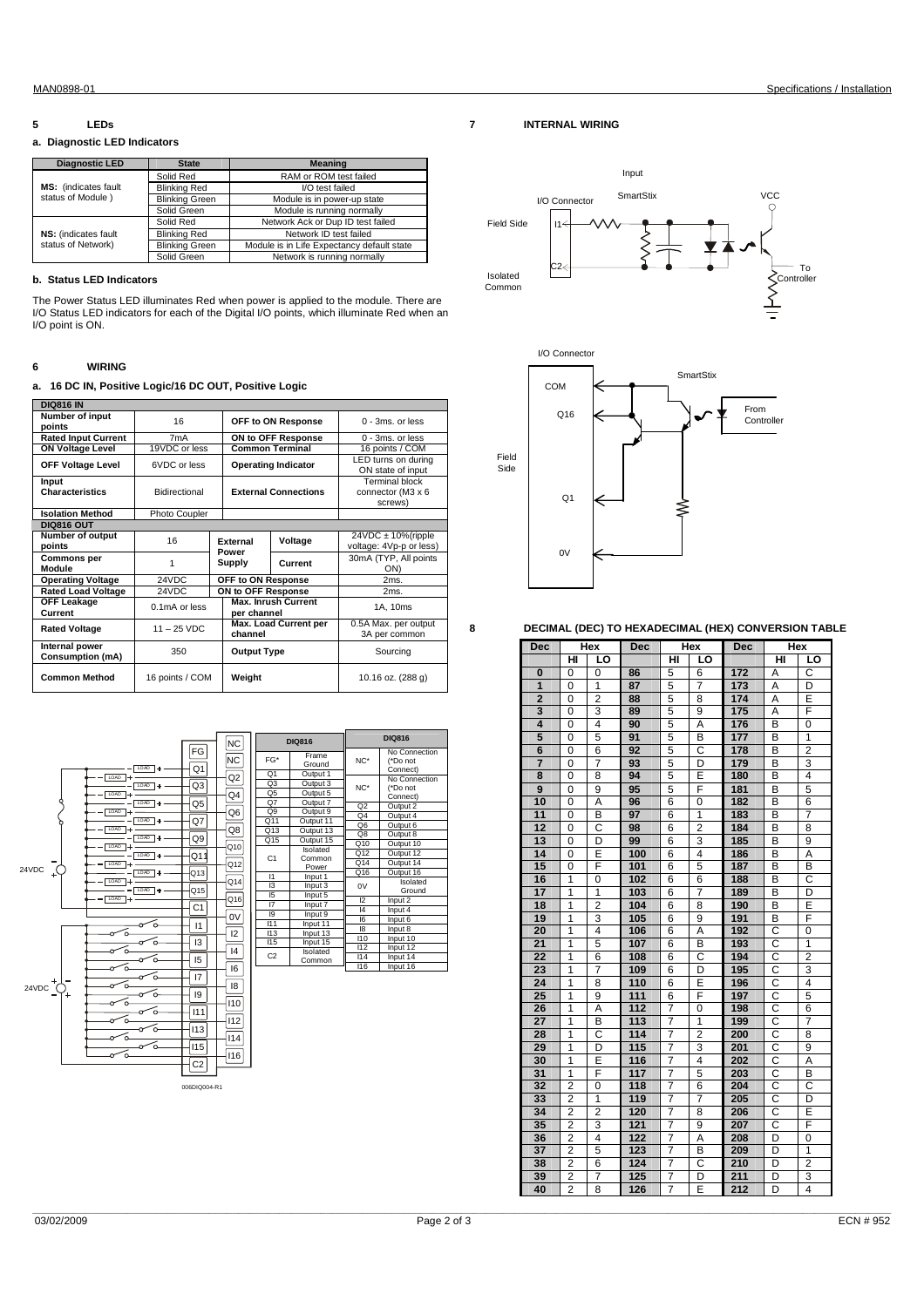#### **5 LEDs**

#### **a. Diagnostic LED Indicators**

| <b>Diagnostic LED</b>       | <b>State</b>          | Meaning                                    |  |  |
|-----------------------------|-----------------------|--------------------------------------------|--|--|
|                             | Solid Red             | RAM or ROM test failed                     |  |  |
| <b>MS:</b> (indicates fault | <b>Blinking Red</b>   | I/O test failed                            |  |  |
| status of Module)           | <b>Blinking Green</b> | Module is in power-up state                |  |  |
|                             | Solid Green           | Module is running normally                 |  |  |
|                             | Solid Red             | Network Ack or Dup ID test failed          |  |  |
| NS: (indicates fault        | <b>Blinking Red</b>   | Network ID test failed                     |  |  |
| status of Network)          | <b>Blinking Green</b> | Module is in Life Expectancy default state |  |  |
|                             | Solid Green           | Network is running normally                |  |  |

#### **b. Status LED Indicators**

The Power Status LED illuminates Red when power is applied to the module. There are I/O Status LED indicators for each of the Digital I/O points, which illuminate Red when an I/O point is ON.

#### **6 WIRING**

#### **a. 16 DC IN, Positive Logic/16 DC OUT, Positive Logic**

| <b>DIQ816 IN</b>                          |                 |  |                                     |                            |                                                     |  |
|-------------------------------------------|-----------------|--|-------------------------------------|----------------------------|-----------------------------------------------------|--|
| Number of input<br>points                 | 16              |  |                                     | OFF to ON Response         | $0 - 3ms$ . or less                                 |  |
| <b>Rated Input Current</b>                | 7mA             |  |                                     | ON to OFF Response         | 0 - 3ms, or less                                    |  |
| <b>ON Voltage Level</b>                   | 19VDC or less   |  | <b>Common Terminal</b>              |                            | 16 points / COM                                     |  |
| <b>OFF Voltage Level</b>                  | 6VDC or less    |  |                                     | <b>Operating Indicator</b> | LED turns on during<br>ON state of input            |  |
| Input<br><b>Characteristics</b>           | Bidirectional   |  | <b>External Connections</b>         |                            | Terminal block<br>connector (M3 x 6<br>screws)      |  |
| <b>Isolation Method</b>                   | Photo Coupler   |  |                                     |                            |                                                     |  |
| <b>DIQ816 OUT</b>                         |                 |  |                                     |                            |                                                     |  |
| Number of output<br>points                | 16              |  | <b>Fxternal</b><br>Voltage<br>Power |                            | $24VDC \pm 10\%$ (ripple<br>voltage: 4Vp-p or less) |  |
| <b>Commons per</b><br>Module              | 1               |  | Supply                              | Current                    | 30mA (TYP, All points<br>ON)                        |  |
| <b>Operating Voltage</b>                  | 24VDC           |  | OFF to ON Response                  |                            | 2ms.                                                |  |
| <b>Rated Load Voltage</b>                 | 24VDC           |  | ON to OFF Response                  |                            | 2ms.                                                |  |
| OFF Leakage<br>Current                    | $0.1mA$ or less |  | per channel                         | <b>Max. Inrush Current</b> | 1A, 10ms                                            |  |
| <b>Rated Voltage</b>                      | $11 - 25$ VDC   |  | Max. Load Current per<br>channel    |                            | 0.5A Max. per output<br>3A per common               |  |
| Internal power<br><b>Consumption (mA)</b> | 350             |  | <b>Output Type</b>                  |                            | Sourcing                                            |  |
| <b>Common Method</b>                      | 16 points / COM |  | Weight                              |                            | 10.16 oz. (288 g)                                   |  |



006DIQ004-R1

Input

**7 INTERNAL WIRING** 





**8 DECIMAL (DEC) TO HEXADECIMAL (HEX) CONVERSION TABLE** 

| Dec                     | Hex            |                | Dec | Hex            |                | <b>Dec</b> | Hex |                         |
|-------------------------|----------------|----------------|-----|----------------|----------------|------------|-----|-------------------------|
|                         | нı             | LO             |     | HI             | LO             |            | нī  | LO                      |
| 0                       | 0              | 0              | 86  | 5              | 6              | 172        | Α   | C                       |
| 1                       | 0              | 1              | 87  | 5              | $\overline{7}$ | 173        | Α   | D                       |
| $\overline{2}$          | 0              | $\overline{2}$ | 88  | 5              | 8              | 174        | Α   | E                       |
| $\overline{\mathbf{3}}$ | 0              | 3              | 89  | 5              | 9              | 175        | А   | F                       |
| 4                       | 0              | 4              | 90  | 5              | Α              | 176        | В   | 0                       |
| 5                       | 0              | 5              | 91  | 5              | В              | 177        | В   | 1                       |
| 6                       | 0              | 6              | 92  | 5              | C              | 178        | В   | $\overline{2}$          |
| $\overline{7}$          | 0              | 7              | 93  | 5              | D              | 179        | В   | 3                       |
| 8                       | 0              | 8              | 94  | 5              | Ē              | 180        | B   | $\overline{4}$          |
| 9                       | 0              | 9              | 95  | 5              | F              | 181        | В   | 5                       |
| 10                      | 0              | Α              | 96  | 6              | 0              | 182        | В   | 6                       |
| 11                      | 0              | B              | 97  | 6              | 1              | 183        | B   | 7                       |
| 12                      | 0              | Ċ              | 98  | 6              | $\overline{2}$ | 184        | В   | 8                       |
| 13                      | 0              | D              | 99  | 6              | 3              | 185        | B   | 9                       |
| 14                      | 0              | Ē              | 100 | 6              | $\overline{4}$ | 186        | В   | Α                       |
| 15                      | 0              | F              | 101 | 6              | 5              | 187        | В   | в                       |
| 16                      | 1              | 0              | 102 | 6              | 6              | 188        | В   | C                       |
| 17                      | 1              | 1              | 103 | 6              | 7              | 189        | в   | D                       |
| 18                      | 1              | $\overline{2}$ | 104 | 6              | 8              | 190        | B   | E                       |
| 19                      | $\overline{1}$ | 3              | 105 | 6              | 9              | 191        | В   | F                       |
| 20                      | 1              | 4              | 106 | 6              | Α              | 192        | С   | 0                       |
| 21                      | 1              | 5              | 107 | 6              | В              | 193        | C   | 1                       |
| 22                      | 1              | 6              | 108 | 6              | C              | 194        | C   | $\overline{2}$          |
| 23                      | 1              | 7              | 109 | 6              | D              | 195        | C   | 3                       |
| 24                      | 1              | 8              | 110 | 6              | Ē              | 196        | C   | 4                       |
| 25                      | 1              | 9              | 111 | 6              | F              | 197        | C   | 5                       |
| 26                      | 1              | A              | 112 | 7              | 0              | 198        | C   | 6                       |
| $\overline{27}$         | 1              | B              | 113 | 7              | 1              | 199        | C   | 7                       |
| 28                      | 1              | C              | 114 | 7              | $\overline{2}$ | 200        | C   | 8                       |
| 29                      | 1              | D              | 115 | 7              | 3              | 201        | C   | 9                       |
| 30                      | 1              | E              | 116 | $\overline{7}$ | 4              | 202        | C   | A                       |
| $\overline{31}$         | 1              | F              | 117 | 7              | 5              | 203        | C   | B                       |
| 32                      | $\overline{2}$ | 0              | 118 | 7              | 6              | 204        | C   | C                       |
| 33                      | $\overline{2}$ | 1              | 119 | 7              | 7              | 205        | C   | D                       |
| 34                      | $\overline{2}$ | $\overline{2}$ | 120 | 7              | 8              | 206        | C   | Ē                       |
| 35                      | 2              | 3              | 121 | 7              | 9              | 207        | С   | F                       |
| 36                      | $\overline{2}$ | $\overline{4}$ | 122 | 7              | Ā              | 208        | D   | 0                       |
| 37                      | $\overline{2}$ | 5              | 123 | 7              | в              | 209        | D   | 1                       |
| 38                      | $\overline{2}$ | 6              | 124 | 7              | C              | 210        | D   | $\overline{2}$          |
| 39                      | 2              | 7              | 125 | 7              | D              | 211        | D   | 3                       |
| 40                      | $\overline{2}$ | 8              | 126 | $\overline{7}$ | E              | 212        | D   | $\overline{\mathbf{4}}$ |